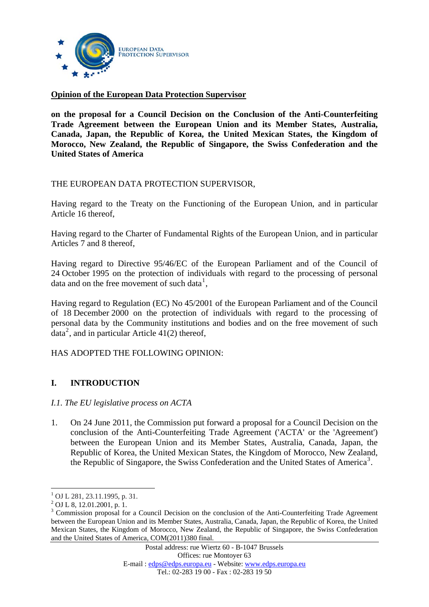

## **Opinion of the European Data Protection Supervisor**

**on the proposal for a Council Decision on the Conclusion of the Anti-Counterfeiting Trade Agreement between the European Union and its Member States, Australia, Canada, Japan, the Republic of Korea, the United Mexican States, the Kingdom of Morocco, New Zealand, the Republic of Singapore, the Swiss Confederation and the United States of America** 

## THE EUROPEAN DATA PROTECTION SUPERVISOR,

Having regard to the Treaty on the Functioning of the European Union, and in particular Article 16 thereof,

Having regard to the Charter of Fundamental Rights of the European Union, and in particular Articles 7 and 8 thereof,

Having regard to Directive 95/46/EC of the European Parliament and of the Council of 24 October 1995 on the protection of individuals with regard to the processing of personal data and on the free movement of such data<sup>[1](#page-0-0)</sup>,

Having regard to Regulation (EC) No 45/2001 of the European Parliament and of the Council of 18 December 2000 on the protection of individuals with regard to the processing of personal data by the Community institutions and bodies and on the free movement of such data<sup>[2](#page-0-1)</sup>, and in particular Article  $41(2)$  thereof,

#### HAS ADOPTED THE FOLLOWING OPINION:

# **I. INTRODUCTION**

#### *I.1. The EU legislative process on ACTA*

1. On 24 June 2011, the Commission put forward a proposal for a Council Decision on the conclusion of the Anti-Counterfeiting Trade Agreement ('ACTA' or the 'Agreement') between the European Union and its Member States, Australia, Canada, Japan, the Republic of Korea, the United Mexican States, the Kingdom of Morocco, New Zealand, the Republic of Singapore, the Swiss Confederation and the United States of America<sup>[3](#page-0-2)</sup>.

<span id="page-0-0"></span> $1$  OJ L 281, 23.11.1995, p. 31.

<sup>2</sup> OJ L 8, 12.01.2001, p. 1.

<span id="page-0-2"></span><span id="page-0-1"></span><sup>&</sup>lt;sup>3</sup> Commission proposal for a Council Decision on the conclusion of the Anti-Counterfeiting Trade Agreement between the European Union and its Member States, Australia, Canada, Japan, the Republic of Korea, the United Mexican States, the Kingdom of Morocco, New Zealand, the Republic of Singapore, the Swiss Confederation and the United States of America, COM(2011)380 final.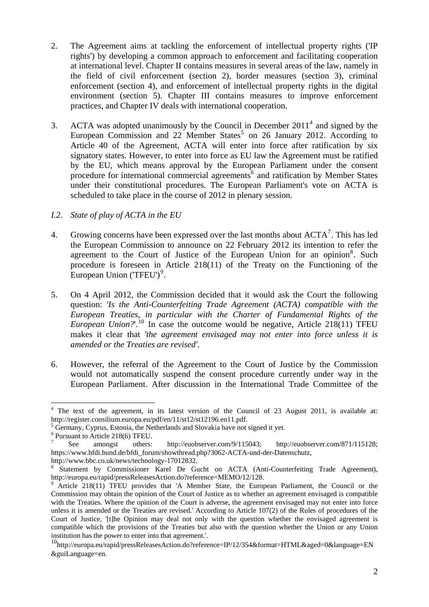- 2. The Agreement aims at tackling the enforcement of intellectual property rights ('IP rights') by developing a common approach to enforcement and facilitating cooperation at international level. Chapter II contains measures in several areas of the law, namely in the field of civil enforcement (section 2), border measures (section 3), criminal enforcement (section 4), and enforcement of intellectual property rights in the digital environment (section 5). Chapter III contains measures to improve enforcement practices, and Chapter IV deals with international cooperation.
- 3. ACTA was adopted unanimously by the Council in December  $2011<sup>4</sup>$  $2011<sup>4</sup>$  $2011<sup>4</sup>$  and signed by the European Commission and 22 Member States<sup>[5](#page-1-1)</sup> on 26 January 2012. According to Article 40 of the Agreement, ACTA will enter into force after ratification by six signatory states. However, to enter into force as EU law the Agreement must be ratified by the EU, which means approval by the European Parliament under the consent procedure for international commercial agreements<sup>[6](#page-1-2)</sup> and ratification by Member States under their constitutional procedures. The European Parliament's vote on ACTA is scheduled to take place in the course of 2012 in plenary session.
- *I.2. State of play of ACTA in the EU*
- 4. Growing concerns have been expressed over the last months about  $ACTA<sup>7</sup>$  $ACTA<sup>7</sup>$  $ACTA<sup>7</sup>$ . This has led the European Commission to announce on 22 February 2012 its intention to refer the agreement to the Court of Justice of the European Union for an opinion<sup>[8](#page-1-4)</sup>. Such procedure is foreseen in Article 218(11) of the Treaty on the Functioning of the European Union ('TFEU')<sup>[9](#page-1-5)</sup>.
- 5. On 4 April 2012, the Commission decided that it would ask the Court the following question: '*Is the Anti-Counterfeiting Trade Agreement (ACTA) compatible with the European Treaties, in particular with the Charter of Fundamental Rights of the European Union*?'.<sup>[10](#page-1-6)</sup> In case the outcome would be negative, Article 218(11) TFEU makes it clear that *'the agreement envisaged may not enter into force unless it is amended or the Treaties are revised'*.
- 6. However, the referral of the Agreement to the Court of Justice by the Commission would not automatically suspend the consent procedure currently under way in the European Parliament. After discussion in the International Trade Committee of the

<span id="page-1-0"></span><sup>&</sup>lt;sup>4</sup> The text of the agreement, in its latest version of the Council of 23 August 2011, is available at: <http://register.consilium.europa.eu/pdf/en/11/st12/st12196.en11.pdf>.

<span id="page-1-1"></span> $<sup>5</sup>$  Germany, Cyprus, Estonia, the Netherlands and Slovakia have not signed it yet.</sup>

 $^{6}$  Pursuant to Article 218(6) TFEU.

<span id="page-1-3"></span><span id="page-1-2"></span>See amongst others: <http://euobserver.com/9/115043>; [http://euobserver.com/871/115128;](http://euobserver.com/871/115128;%20https://www.bfdi.bund.de/bfdi_forum/showthread.php?3062-ACTA-und-der-Datenschutz)  [https://www.bfdi.bund.de/bfdi\\_forum/showthread.php?3062-ACTA-und-der-Datenschutz](http://euobserver.com/871/115128;%20https://www.bfdi.bund.de/bfdi_forum/showthread.php?3062-ACTA-und-der-Datenschutz),

[http://www.bbc.co.uk/news/technology-17012832.](http://www.bbc.co.uk/news/technology-17012832)

<span id="page-1-4"></span>Statement by Commissioner Karel De Gucht on ACTA (Anti-Counterfeiting Trade Agreement), <http://europa.eu/rapid/pressReleasesAction.do?reference=MEMO/12/128>. [9](http://europa.eu/rapid/pressReleasesAction.do?reference=MEMO/12/128)

<span id="page-1-5"></span>Article 218(11) TFEU provides that 'A Member State, the European Parliament, the Council or the Commission may obtain the opinion of the Court of Justice as to whether an agreement envisaged is compatible with the Treaties. Where the opinion of the Court is adverse, the agreement envisaged may not enter into force unless it is amended or the Treaties are revised.' According to Article 107(2) of the Rules of procedures of the Court of Justice, '[t]he Opinion may deal not only with the question whether the envisaged agreement is compatible which the provisions of the Treaties but also with the question whether the Union or any Union institution has the power to enter into that agreement.'.

<span id="page-1-6"></span><sup>10&</sup>lt;br>[http://europa.eu/rapid/pressReleasesAction.do?reference=IP/12/354&format=HTML&aged=0&language=EN](http://europa.eu/rapid/pressReleasesAction.do?reference=IP/12/354&format=HTML&aged=0&language=EN&guiLanguage=en) [&guiLanguage=en.](http://europa.eu/rapid/pressReleasesAction.do?reference=IP/12/354&format=HTML&aged=0&language=EN&guiLanguage=en)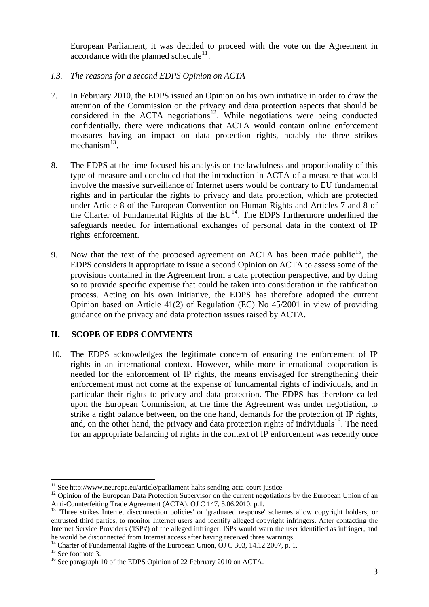European Parliament, it was decided to proceed with the vote on the Agreement in accordance with the planned schedule<sup>11</sup>.

- *I.3. The reasons for a second EDPS Opinion on ACTA*
- 7. In February 2010, the EDPS issued an Opinion on his own initiative in order to draw the attention of the Commission on the privacy and data protection aspects that should be considered in the ACTA negotiations<sup>[12](#page-2-0)</sup>. While negotiations were being conducted confidentially, there were indications that ACTA would contain online enforcement measures having an impact on data protection rights, notably the three strikes mechanism $^{13}$  $^{13}$  $^{13}$ .
- 8. The EDPS at the time focused his analysis on the lawfulness and proportionality of this type of measure and concluded that the introduction in ACTA of a measure that would involve the massive surveillance of Internet users would be contrary to EU fundamental rights and in particular the rights to privacy and data protection, which are protected under Article 8 of the European Convention on Human Rights and Articles 7 and 8 of the Charter of Fundamental Rights of the  $EU^{14}$  $EU^{14}$  $EU^{14}$ . The EDPS furthermore underlined the safeguards needed for international exchanges of personal data in the context of IP rights' enforcement.
- 9. Now that the text of the proposed agreement on ACTA has been made public<sup>[15](#page-2-3)</sup>, the EDPS considers it appropriate to issue a second Opinion on ACTA to assess some of the provisions contained in the Agreement from a data protection perspective, and by doing so to provide specific expertise that could be taken into consideration in the ratification process. Acting on his own initiative, the EDPS has therefore adopted the current Opinion based on Article 41(2) of Regulation (EC) No 45/2001 in view of providing guidance on the privacy and data protection issues raised by ACTA.

# **II. SCOPE OF EDPS COMMENTS**

10. The EDPS acknowledges the legitimate concern of ensuring the enforcement of IP rights in an international context. However, while more international cooperation is needed for the enforcement of IP rights, the means envisaged for strengthening their enforcement must not come at the expense of fundamental rights of individuals, and in particular their rights to privacy and data protection. The EDPS has therefore called upon the European Commission, at the time the Agreement was under negotiation, to strike a right balance between, on the one hand, demands for the protection of IP rights, and, on the other hand, the privacy and data protection rights of individuals<sup>[16](#page-2-4)</sup>. The need for an appropriate balancing of rights in the context of IP enforcement was recently once

<sup>&</sup>lt;sup>11</sup> See http://www.neurope.eu/article/parliament-halts-sending-acta-court-justice.

<span id="page-2-0"></span><sup>&</sup>lt;sup>12</sup> Opinion of the European Data Protection Supervisor on the current negotiations by the European Union of an Anti-Counterfeiting Trade Agreement (ACTA), OJ C 147, 5.06.2010, p.1.

<span id="page-2-1"></span><sup>&</sup>lt;sup>13</sup> Three strikes Internet disconnection policies' or 'graduated response' schemes allow copyright holders, or entrusted third parties, to monitor Internet users and identify alleged copyright infringers. After contacting the Internet Service Providers ('ISPs') of the alleged infringer, ISPs would warn the user identified as infringer, and he would be disconnected from Internet access after having received three warnings.<br><sup>14</sup> Charter of Fundamental Rights of the European Union, OJ C 303, 14.12.2007, p. 1.

<span id="page-2-3"></span><span id="page-2-2"></span><sup>&</sup>lt;sup>15</sup> See footnote 3.

<span id="page-2-4"></span><sup>&</sup>lt;sup>16</sup> See paragraph 10 of the EDPS Opinion of 22 February 2010 on ACTA.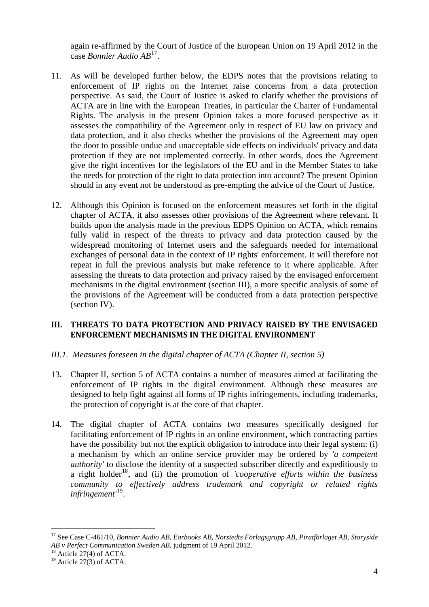again re-affirmed by the Court of Justice of the European Union on 19 April 2012 in the case *Bonnier Audio AB*17.

- 11. As will be developed further below, the EDPS notes that the provisions relating to enforcement of IP rights on the Internet raise concerns from a data protection perspective. As said, the Court of Justice is asked to clarify whether the provisions of ACTA are in line with the European Treaties, in particular the Charter of Fundamental Rights. The analysis in the present Opinion takes a more focused perspective as it assesses the compatibility of the Agreement only in respect of EU law on privacy and data protection, and it also checks whether the provisions of the Agreement may open the door to possible undue and unacceptable side effects on individuals' privacy and data protection if they are not implemented correctly. In other words, does the Agreement give the right incentives for the legislators of the EU and in the Member States to take the needs for protection of the right to data protection into account? The present Opinion should in any event not be understood as pre-empting the advice of the Court of Justice.
- 12. Although this Opinion is focused on the enforcement measures set forth in the digital chapter of ACTA, it also assesses other provisions of the Agreement where relevant. It builds upon the analysis made in the previous EDPS Opinion on ACTA, which remains fully valid in respect of the threats to privacy and data protection caused by the widespread monitoring of Internet users and the safeguards needed for international exchanges of personal data in the context of IP rights' enforcement. It will therefore not repeat in full the previous analysis but make reference to it where applicable. After assessing the threats to data protection and privacy raised by the envisaged enforcement mechanisms in the digital environment (section III), a more specific analysis of some of the provisions of the Agreement will be conducted from a data protection perspective (section IV).

## **III. THREATS TO DATA PROTECTION AND PRIVACY RAISED BY THE ENVISAGED ENFORCEMENT MECHANISMS IN THE DIGITAL ENVIRONMENT**

# *III.1. Measures foreseen in the digital chapter of ACTA (Chapter II, section 5)*

- 13. Chapter II, section 5 of ACTA contains a number of measures aimed at facilitating the enforcement of IP rights in the digital environment. Although these measures are designed to help fight against all forms of IP rights infringements, including trademarks, the protection of copyright is at the core of that chapter.
- 14. The digital chapter of ACTA contains two measures specifically designed for facilitating enforcement of IP rights in an online environment, which contracting parties have the possibility but not the explicit obligation to introduce into their legal system: (i) a mechanism by which an online service provider may be ordered by *'a competent authority'* to disclose the identity of a suspected subscriber directly and expeditiously to a right holder<sup>[18](#page-3-0)</sup>, and (ii) the promotion of *'cooperative efforts within the business community to effectively address trademark and copyright or related rights infringement'*[19](#page-3-1).

<sup>17</sup> See Case C-461/10, *Bonnier Audio AB, Earbooks AB, Norstedts Förlagsgrupp AB, Piratförlaget AB, Storyside AB v Perfect Communication Sweden AB*, judgment of 19 April 2012.

<span id="page-3-1"></span><span id="page-3-0"></span><sup>&</sup>lt;sup>18</sup> Article 27(4) of ACTA.<br><sup>19</sup> Article 27(3) of ACTA.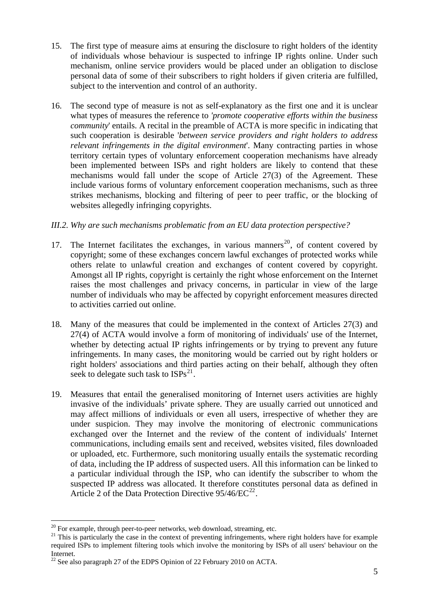- 15. The first type of measure aims at ensuring the disclosure to right holders of the identity of individuals whose behaviour is suspected to infringe IP rights online. Under such mechanism, online service providers would be placed under an obligation to disclose personal data of some of their subscribers to right holders if given criteria are fulfilled, subject to the intervention and control of an authority.
- 16. The second type of measure is not as self-explanatory as the first one and it is unclear what types of measures the reference to *'promote cooperative efforts within the business community*' entails. A recital in the preamble of ACTA is more specific in indicating that such cooperation is desirable '*between service providers and right holders to address relevant infringements in the digital environment*'. Many contracting parties in whose territory certain types of voluntary enforcement cooperation mechanisms have already been implemented between ISPs and right holders are likely to contend that these mechanisms would fall under the scope of Article 27(3) of the Agreement. These include various forms of voluntary enforcement cooperation mechanisms, such as three strikes mechanisms, blocking and filtering of peer to peer traffic, or the blocking of websites allegedly infringing copyrights.

# *III.2. Why are such mechanisms problematic from an EU data protection perspective?*

- 17. The Internet facilitates the exchanges, in various manners<sup>[20](#page-4-0)</sup>, of content covered by copyright; some of these exchanges concern lawful exchanges of protected works while others relate to unlawful creation and exchanges of content covered by copyright. Amongst all IP rights, copyright is certainly the right whose enforcement on the Internet raises the most challenges and privacy concerns, in particular in view of the large number of individuals who may be affected by copyright enforcement measures directed to activities carried out online.
- 18. Many of the measures that could be implemented in the context of Articles 27(3) and 27(4) of ACTA would involve a form of monitoring of individuals' use of the Internet, whether by detecting actual IP rights infringements or by trying to prevent any future infringements. In many cases, the monitoring would be carried out by right holders or right holders' associations and third parties acting on their behalf, although they often seek to delegate such task to  $ISPs^{21}$  $ISPs^{21}$  $ISPs^{21}$ .
- 19. Measures that entail the generalised monitoring of Internet users activities are highly invasive of the individuals' private sphere. They are usually carried out unnoticed and may affect millions of individuals or even all users, irrespective of whether they are under suspicion. They may involve the monitoring of electronic communications exchanged over the Internet and the review of the content of individuals' Internet communications, including emails sent and received, websites visited, files downloaded or uploaded, etc. Furthermore, such monitoring usually entails the systematic recording of data, including the IP address of suspected users. All this information can be linked to a particular individual through the ISP, who can identify the subscriber to whom the suspected IP address was allocated. It therefore constitutes personal data as defined in Article 2 of the Data Protection Directive  $95/46/EC^{22}$  $95/46/EC^{22}$  $95/46/EC^{22}$ .

<span id="page-4-0"></span> $20$  For example, through peer-to-peer networks, web download, streaming, etc.

<span id="page-4-1"></span> $21$  This is particularly the case in the context of preventing infringements, where right holders have for example required ISPs to implement filtering tools which involve the monitoring by ISPs of all users' behaviour on the Internet.

<span id="page-4-2"></span> $22$  See also paragraph 27 of the EDPS Opinion of 22 February 2010 on ACTA.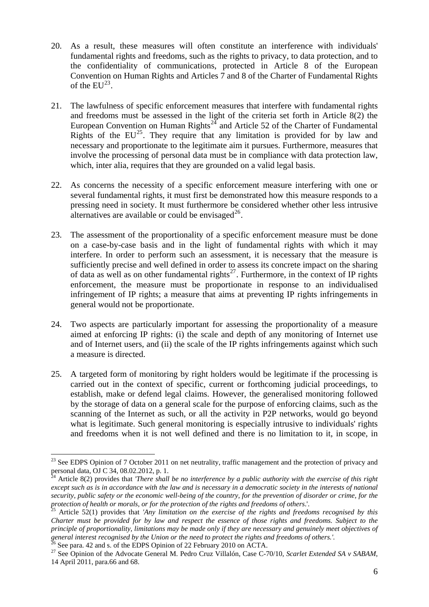- 20. As a result, these measures will often constitute an interference with individuals' fundamental rights and freedoms, such as the rights to privacy, to data protection, and to the confidentiality of communications, protected in Article 8 of the European Convention on Human Rights and Articles 7 and 8 of the Charter of Fundamental Rights of the  $EU^{23}$  $EU^{23}$  $EU^{23}$ .
- 21. The lawfulness of specific enforcement measures that interfere with fundamental rights and freedoms must be assessed in the light of the criteria set forth in Article 8(2) the European Convention on Human Rights<sup> $2\overline{4}$ </sup> and Article 52 of the Charter of Fundamental Rights of the  $EU^{25}$  $EU^{25}$  $EU^{25}$ . They require that any limitation is provided for by law and necessary and proportionate to the legitimate aim it pursues. Furthermore, measures that involve the processing of personal data must be in compliance with data protection law, which, inter alia, requires that they are grounded on a valid legal basis.
- 22. As concerns the necessity of a specific enforcement measure interfering with one or several fundamental rights, it must first be demonstrated how this measure responds to a pressing need in society. It must furthermore be considered whether other less intrusive alternatives are available or could be envisaged $^{26}$  $^{26}$  $^{26}$ .
- 23. The assessment of the proportionality of a specific enforcement measure must be done on a case-by-case basis and in the light of fundamental rights with which it may interfere. In order to perform such an assessment, it is necessary that the measure is sufficiently precise and well defined in order to assess its concrete impact on the sharing of data as well as on other fundamental rights<sup>[27](#page-5-4)</sup>. Furthermore, in the context of IP rights enforcement, the measure must be proportionate in response to an individualised infringement of IP rights; a measure that aims at preventing IP rights infringements in general would not be proportionate.
- 24. Two aspects are particularly important for assessing the proportionality of a measure aimed at enforcing IP rights: (i) the scale and depth of any monitoring of Internet use and of Internet users, and (ii) the scale of the IP rights infringements against which such a measure is directed.
- 25. A targeted form of monitoring by right holders would be legitimate if the processing is carried out in the context of specific, current or forthcoming judicial proceedings, to establish, make or defend legal claims. However, the generalised monitoring followed by the storage of data on a general scale for the purpose of enforcing claims, such as the scanning of the Internet as such, or all the activity in P2P networks, would go beyond what is legitimate. Such general monitoring is especially intrusive to individuals' rights and freedoms when it is not well defined and there is no limitation to it, in scope, in

<span id="page-5-0"></span><sup>1</sup> <sup>23</sup> See EDPS Opinion of 7 October 2011 on net neutrality, traffic management and the protection of privacy and personal data, OJ C 34, 08.02.2012, p. 1.

<span id="page-5-1"></span><sup>24</sup> Article 8(2) provides that *'There shall be no interference by a public authority with the exercise of this right except such as is in accordance with the law and is necessary in a democratic society in the interests of national security, public safety or the economic well-being of the country, for the prevention of disorder or crime, for the protection of health or morals, or for the protection of the rights and freedoms of others*.'.<br><sup>25</sup> Article 52(1) provides that *'Any limitation on the exercise of the rights and freedoms recognised by this* 

<span id="page-5-2"></span>*Charter must be provided for by law and respect the essence of those rights and freedoms. Subject to the principle of proportionality, limitations may be made only if they are necessary and genuinely meet objectives of general interest recognised by the Union or the need to protect the rights and freedoms of others.'.* 

<span id="page-5-3"></span> $^{26}$  See para. 42 and s. of the EDPS Opinion of 22 February 2010 on ACTA.

<span id="page-5-4"></span><sup>&</sup>lt;sup>27</sup> See Opinion of the Advocate General M. Pedro Cruz Villalón, Case C-70/10, *Scarlet Extended SA v SABAM*, 14 April 2011, para.66 and 68.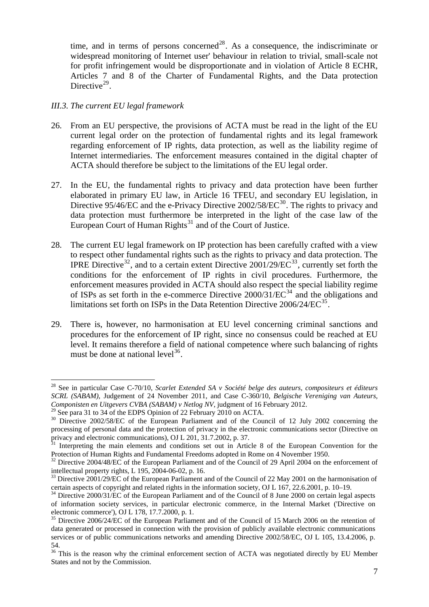time, and in terms of persons concerned<sup>28</sup>. As a consequence, the indiscriminate or widespread monitoring of Internet user' behaviour in relation to trivial, small-scale not for profit infringement would be disproportionate and in violation of Article 8 ECHR, Articles 7 and 8 of the Charter of Fundamental Rights, and the Data protection Directive $^{29}$ .

## *III.3. The current EU legal framework*

- 26. From an EU perspective, the provisions of ACTA must be read in the light of the EU current legal order on the protection of fundamental rights and its legal framework regarding enforcement of IP rights, data protection, as well as the liability regime of Internet intermediaries. The enforcement measures contained in the digital chapter of ACTA should therefore be subject to the limitations of the EU legal order.
- 27. In the EU, the fundamental rights to privacy and data protection have been further elaborated in primary EU law, in Article 16 TFEU, and secondary EU legislation, in Directive 95/46/EC and the e-Privacy Directive  $2002/58/EC^{30}$  $2002/58/EC^{30}$  $2002/58/EC^{30}$ . The rights to privacy and data protection must furthermore be interpreted in the light of the case law of the European Court of Human Rights<sup>[31](#page-6-1)</sup> and of the Court of Justice.
- 28. The current EU legal framework on IP protection has been carefully crafted with a view to respect other fundamental rights such as the rights to privacy and data protection. The IPRE Directive<sup>[32](#page-6-2)</sup>, and to a certain extent Directive  $2001/29/EC^{33}$  $2001/29/EC^{33}$  $2001/29/EC^{33}$ , currently set forth the conditions for the enforcement of IP rights in civil procedures. Furthermore, the enforcement measures provided in ACTA should also respect the special liability regime of ISPs as set forth in the e-commerce Directive  $2000/31/EC^{34}$  $2000/31/EC^{34}$  $2000/31/EC^{34}$  and the obligations and limitations set forth on ISPs in the Data Retention Directive 2006/24/EC<sup>[35](#page-6-5)</sup>.
- 29. There is, however, no harmonisation at EU level concerning criminal sanctions and procedures for the enforcement of IP right, since no consensus could be reached at EU level. It remains therefore a field of national competence where such balancing of rights must be done at national level<sup>[36](#page-6-6)</sup>.

<sup>&</sup>lt;sup>28</sup> See in particular Case C-70/10, *Scarlet Extended SA v Société belge des auteurs, compositeurs et éditeurs SCRL (SABAM)*, Judgement of 24 November 2011, and Case C-360/10, *Belgische Vereniging van Auteurs, Componisten en Uitgevers CVBA (SABAM) v Netlog NV*, judgment of 16 February 2012.

 $29$  See para 31 to 34 of the EDPS Opinion of 22 February 2010 on ACTA.

<span id="page-6-0"></span><sup>&</sup>lt;sup>30</sup> Directive 2002/58/EC of the European Parliament and of the Council of 12 July 2002 concerning the processing of personal data and the protection of privacy in the electronic communications sector (Directive on privacy and electronic communications), OJ L 201, 31.7.2002, p. 37.

<span id="page-6-1"></span> $31$  Interpreting the main elements and conditions set out in Article 8 of the European Convention for the Protection of Human Rights and Fundamental Freedoms adopted in Rome on 4 November 1950.

<span id="page-6-2"></span><sup>&</sup>lt;sup>32</sup> Directive 2004/48/EC of the European Parliament and of the Council of 29 April 2004 on the enforcement of intellectual property rights, L 195, 2004-06-02, p. 16.

<span id="page-6-3"></span><sup>&</sup>lt;sup>33</sup> Directive 2001/29/EC of the European Parliament and of the Council of 22 May 2001 on the harmonisation of certain aspects of copyright and related rights in the information society, OJ L 167, 22.6.2001, p. 10–19.

<span id="page-6-4"></span><sup>&</sup>lt;sup>34</sup> Directive 2000/31/EC of the European Parliament and of the Council of 8 June 2000 on certain legal aspects of information society services, in particular electronic commerce, in the Internal Market ('Directive on

<span id="page-6-5"></span>electronic commerce'), OJ L 178, 17.7.2000, p. 1.<br><sup>35</sup> Directive 2006/24/EC of the European Parliament and of the Council of 15 March 2006 on the retention of data generated or processed in connection with the provision of publicly available electronic communications services or of public communications networks and amending Directive 2002/58/EC, OJ L 105, 13.4.2006, p. 54.

<span id="page-6-6"></span><sup>&</sup>lt;sup>36</sup> This is the reason why the criminal enforcement section of ACTA was negotiated directly by EU Member States and not by the Commission.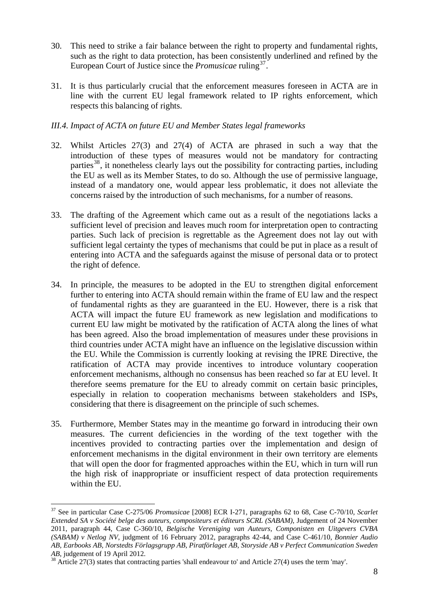- 30. This need to strike a fair balance between the right to property and fundamental rights, such as the right to data protection, has been consistently underlined and refined by the European Court of Justice since the *Promusicae* ruling<sup>[37](#page-7-0)</sup>.
- 31. It is thus particularly crucial that the enforcement measures foreseen in ACTA are in line with the current EU legal framework related to IP rights enforcement, which respects this balancing of rights.

# *III.4. Impact of ACTA on future EU and Member States legal frameworks*

- 32. Whilst Articles 27(3) and 27(4) of ACTA are phrased in such a way that the introduction of these types of measures would not be mandatory for contracting parties<sup>[38](#page-7-1)</sup>, it nonetheless clearly lays out the possibility for contracting parties, including the EU as well as its Member States, to do so. Although the use of permissive language, instead of a mandatory one, would appear less problematic, it does not alleviate the concerns raised by the introduction of such mechanisms, for a number of reasons.
- 33. The drafting of the Agreement which came out as a result of the negotiations lacks a sufficient level of precision and leaves much room for interpretation open to contracting parties. Such lack of precision is regrettable as the Agreement does not lay out with sufficient legal certainty the types of mechanisms that could be put in place as a result of entering into ACTA and the safeguards against the misuse of personal data or to protect the right of defence.
- 34. In principle, the measures to be adopted in the EU to strengthen digital enforcement further to entering into ACTA should remain within the frame of EU law and the respect of fundamental rights as they are guaranteed in the EU. However, there is a risk that ACTA will impact the future EU framework as new legislation and modifications to current EU law might be motivated by the ratification of ACTA along the lines of what has been agreed. Also the broad implementation of measures under these provisions in third countries under ACTA might have an influence on the legislative discussion within the EU. While the Commission is currently looking at revising the IPRE Directive, the ratification of ACTA may provide incentives to introduce voluntary cooperation enforcement mechanisms, although no consensus has been reached so far at EU level. It therefore seems premature for the EU to already commit on certain basic principles, especially in relation to cooperation mechanisms between stakeholders and ISPs, considering that there is disagreement on the principle of such schemes.
- 35. Furthermore, Member States may in the meantime go forward in introducing their own measures. The current deficiencies in the wording of the text together with the incentives provided to contracting parties over the implementation and design of enforcement mechanisms in the digital environment in their own territory are elements that will open the door for fragmented approaches within the EU, which in turn will run the high risk of inappropriate or insufficient respect of data protection requirements within the EU.

<span id="page-7-0"></span><sup>1</sup> 37 See in particular Case C-275/06 *Promusicae* [2008] ECR I-271, paragraphs 62 to 68, Case C-70/10, *Scarlet Extended SA v Société belge des auteurs, compositeurs et éditeurs SCRL (SABAM)*, Judgement of 24 November 2011, paragraph 44, Case C-360/10, *Belgische Vereniging van Auteurs, Componisten en Uitgevers CVBA (SABAM) v Netlog NV*, judgment of 16 February 2012, paragraphs 42-44, and Case C-461/10, *Bonnier Audio AB, Earbooks AB, Norstedts Förlagsgrupp AB, Piratförlaget AB, Storyside AB v Perfect Communication Sweden* 

<span id="page-7-1"></span><sup>&</sup>lt;sup>38</sup> Article 27(3) states that contracting parties 'shall endeavour to' and Article 27(4) uses the term 'may'.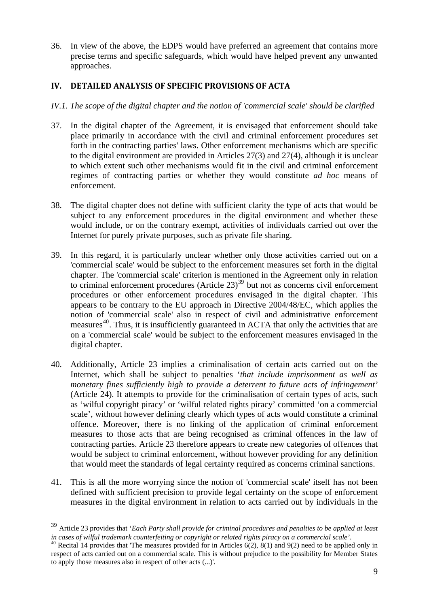36. In view of the above, the EDPS would have preferred an agreement that contains more precise terms and specific safeguards, which would have helped prevent any unwanted approaches.

# **IV. DETAILED ANALYSIS OF SPECIFIC PROVISIONS OF ACTA**

- *IV.1. The scope of the digital chapter and the notion of 'commercial scale' should be clarified*
- 37. In the digital chapter of the Agreement, it is envisaged that enforcement should take place primarily in accordance with the civil and criminal enforcement procedures set forth in the contracting parties' laws. Other enforcement mechanisms which are specific to the digital environment are provided in Articles 27(3) and 27(4), although it is unclear to which extent such other mechanisms would fit in the civil and criminal enforcement regimes of contracting parties or whether they would constitute *ad hoc* means of enforcement.
- 38. The digital chapter does not define with sufficient clarity the type of acts that would be subject to any enforcement procedures in the digital environment and whether these would include, or on the contrary exempt, activities of individuals carried out over the Internet for purely private purposes, such as private file sharing.
- 39. In this regard, it is particularly unclear whether only those activities carried out on a 'commercial scale' would be subject to the enforcement measures set forth in the digital chapter. The 'commercial scale' criterion is mentioned in the Agreement only in relation to criminal enforcement procedures (Article  $23<sup>39</sup>$  $23<sup>39</sup>$  $23<sup>39</sup>$  but not as concerns civil enforcement procedures or other enforcement procedures envisaged in the digital chapter. This appears to be contrary to the EU approach in Directive 2004/48/EC, which applies the notion of 'commercial scale' also in respect of civil and administrative enforcement measures<sup>[40](#page-8-1)</sup>. Thus, it is insufficiently guaranteed in ACTA that only the activities that are on a 'commercial scale' would be subject to the enforcement measures envisaged in the digital chapter.
- 40. Additionally, Article 23 implies a criminalisation of certain acts carried out on the Internet, which shall be subject to penalties '*that include imprisonment as well as monetary fines sufficiently high to provide a deterrent to future acts of infringement'* (Article 24). It attempts to provide for the criminalisation of certain types of acts, such as 'wilful copyright piracy' or 'wilful related rights piracy' committed 'on a commercial scale', without however defining clearly which types of acts would constitute a criminal offence. Moreover, there is no linking of the application of criminal enforcement measures to those acts that are being recognised as criminal offences in the law of contracting parties. Article 23 therefore appears to create new categories of offences that would be subject to criminal enforcement, without however providing for any definition that would meet the standards of legal certainty required as concerns criminal sanctions.
- 41. This is all the more worrying since the notion of 'commercial scale' itself has not been defined with sufficient precision to provide legal certainty on the scope of enforcement measures in the digital environment in relation to acts carried out by individuals in the

<span id="page-8-0"></span><sup>39</sup> Article 23 provides that '*Each Party shall provide for criminal procedures and penalties to be applied at least*  in cases of wilful trademark counterfeiting or copyright or related rights piracy on a commercial scale'.<br><sup>40</sup> Recital 14 provides that 'The measures provided for in Articles 6(2), 8(1) and 9(2) need to be applied only in

<span id="page-8-1"></span>respect of acts carried out on a commercial scale. This is without prejudice to the possibility for Member States to apply those measures also in respect of other acts (...)'.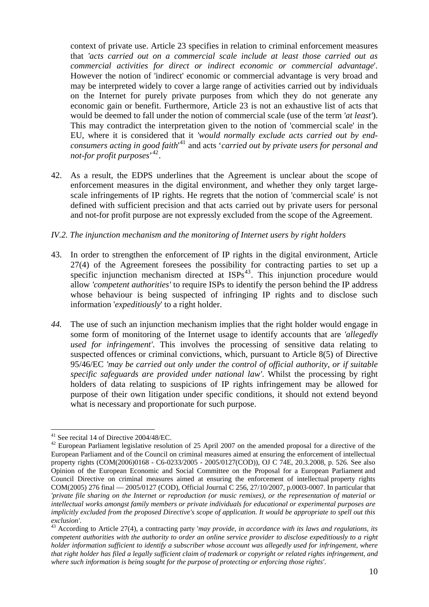context of private use. Article 23 specifies in relation to criminal enforcement measures that *'acts carried out on a commercial scale include at least those carried out as commercial activities for direct or indirect economic or commercial advantage*'. However the notion of 'indirect' economic or commercial advantage is very broad and may be interpreted widely to cover a large range of activities carried out by individuals on the Internet for purely private purposes from which they do not generate any economic gain or benefit. Furthermore, Article 23 is not an exhaustive list of acts that would be deemed to fall under the notion of commercial scale (use of the term *'at least'*). This may contradict the interpretation given to the notion of 'commercial scale' in the EU, where it is considered that it *'would normally exclude acts carried out by endconsumers acting in good faith*' 41 and acts '*carried out by private users for personal and not-for profit purposes*' 42.

42. As a result, the EDPS underlines that the Agreement is unclear about the scope of enforcement measures in the digital environment, and whether they only target largescale infringements of IP rights. He regrets that the notion of 'commercial scale' is not defined with sufficient precision and that acts carried out by private users for personal and not-for profit purpose are not expressly excluded from the scope of the Agreement.

#### *IV.2. The injunction mechanism and the monitoring of Internet users by right holders*

- 43. In order to strengthen the enforcement of IP rights in the digital environment, Article 27(4) of the Agreement foresees the possibility for contracting parties to set up a specific injunction mechanism directed at  $ISPs<sup>43</sup>$  $ISPs<sup>43</sup>$  $ISPs<sup>43</sup>$ . This injunction procedure would allow *'competent authorities'* to require ISPs to identify the person behind the IP address whose behaviour is being suspected of infringing IP rights and to disclose such information '*expeditiously*' to a right holder.
- *44.* The use of such an injunction mechanism implies that the right holder would engage in some form of monitoring of the Internet usage to identify accounts that are *'allegedly used for infringement'*. This involves the processing of sensitive data relating to suspected offences or criminal convictions, which, pursuant to Article 8(5) of Directive 95/46/EC *'may be carried out only under the control of official authority, or if suitable specific safeguards are provided under national law'*. Whilst the processing by right holders of data relating to suspicions of IP rights infringement may be allowed for purpose of their own litigation under specific conditions, it should not extend beyond what is necessary and proportionate for such purpose.

<sup>1</sup>  $41$  See recital 14 of Directive 2004/48/EC.

<sup>&</sup>lt;sup>42</sup> European Parliament legislative resolution of 25 April 2007 on the amended proposal for a directive of the European Parliament and of the Council on criminal measures aimed at ensuring the enforcement of intellectual property rights (COM(2006)0168 - C6-0233/2005 - 2005/0127(COD)), OJ C 74E, 20.3.2008, p. 526*.* See also Opinion of the European Economic and Social Committee on the Proposal for a European Parliament and Council Directive on criminal measures aimed at ensuring the enforcement of intellectual property rights COM(2005) 276 final — 2005/0127 (COD), Official Journal C 256, 27/10/2007, p.0003-0007. In particular that *'private file sharing on the Internet or reproduction (or music remixes), or the representation of material or intellectual works amongst family members or private individuals for educational or experimental purposes are implicitly excluded from the proposed Directive's scope of application. It would be appropriate to spell out this* 

<span id="page-9-0"></span><sup>&</sup>lt;sup>43</sup> According to Article 27(4), a contracting party *'may provide, in accordance with its laws and regulations, its competent authorities with the authority to order an online service provider to disclose expeditiously to a right holder information sufficient to identify a subscriber whose account was allegedly used for infringement, where that right holder has filed a legally sufficient claim of trademark or copyright or related rights infringement, and where such information is being sought for the purpose of protecting or enforcing those rights'*.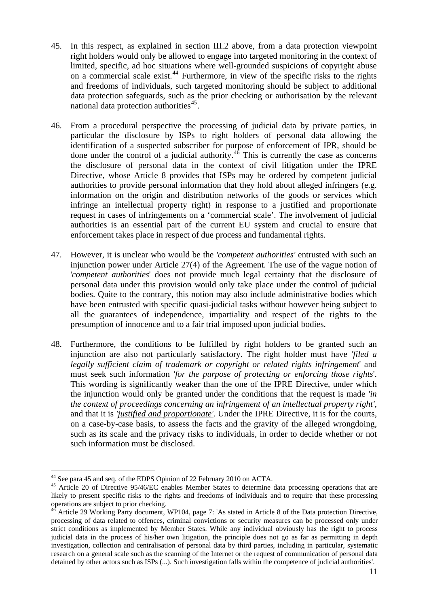- 45. In this respect, as explained in section III.2 above, from a data protection viewpoint right holders would only be allowed to engage into targeted monitoring in the context of limited, specific, ad hoc situations where well-grounded suspicions of copyright abuse on a commercial scale exist.<sup>[44](#page-10-0)</sup> Furthermore, in view of the specific risks to the rights and freedoms of individuals, such targeted monitoring should be subject to additional data protection safeguards, such as the prior checking or authorisation by the relevant national data protection authorities<sup>[45](#page-10-1)</sup>.
- enforcement takes place in respect of due process and fundamental rights. 46. From a procedural perspective the processing of judicial data by private parties, in particular the disclosure by ISPs to right holders of personal data allowing the identification of a suspected subscriber for purpose of enforcement of IPR, should be done under the control of a judicial authority. $46$  This is currently the case as concerns the disclosure of personal data in the context of civil litigation under the IPRE Directive, whose Article 8 provides that ISPs may be ordered by competent judicial authorities to provide personal information that they hold about alleged infringers (e.g. information on the origin and distribution networks of the goods or services which infringe an intellectual property right) in response to a justified and proportionate request in cases of infringements on a 'commercial scale'. The involvement of judicial authorities is an essential part of the current EU system and crucial to ensure that
- 47. However, it is unclear who would be the *'competent authorities'* entrusted with such an injunction power under Article 27(4) of the Agreement. The use of the vague notion of '*competent authorities*' does not provide much legal certainty that the disclosure of personal data under this provision would only take place under the control of judicial bodies. Quite to the contrary, this notion may also include administrative bodies which have been entrusted with specific quasi-judicial tasks without however being subject to all the guarantees of independence, impartiality and respect of the rights to the presumption of innocence and to a fair trial imposed upon judicial bodies.
- 48. Furthermore, the conditions to be fulfilled by right holders to be granted such an injunction are also not particularly satisfactory. The right holder must have *'filed a legally sufficient claim of trademark or copyright or related rights infringement*' and must seek such information *'for the purpose of protecting or enforcing those rights*'. This wording is significantly weaker than the one of the IPRE Directive, under which the injunction would only be granted under the conditions that the request is made *'in the context of proceedings concerning an infringement of an intellectual property right',*  and that it is *'justified and proportionate'*. Under the IPRE Directive, it is for the courts, on a case-by-case basis, to assess the facts and the gravity of the alleged wrongdoing, such as its scale and the privacy risks to individuals, in order to decide whether or not such information must be disclosed.

<u>.</u>

<span id="page-10-0"></span><sup>44</sup> See para 45 and seq. of the EDPS Opinion of 22 February 2010 on ACTA.

<span id="page-10-1"></span><sup>&</sup>lt;sup>45</sup> Article 20 of Directive 95/46/EC enables Member States to determine data processing operations that are likely to present specific risks to the rights and freedoms of individuals and to require that these processing operations are subject to prior checking.

<span id="page-10-2"></span><sup>&</sup>lt;sup>46</sup> Article 29 Working Party document, WP104, page 7: 'As stated in Article 8 of the Data protection Directive, processing of data related to offences, criminal convictions or security measures can be processed only under strict conditions as implemented by Member States. While any individual obviously has the right to process judicial data in the process of his/her own litigation, the principle does not go as far as permitting in depth investigation, collection and centralisation of personal data by third parties, including in particular, systematic research on a general scale such as the scanning of the Internet or the request of communication of personal data detained by other actors such as ISPs (...). Such investigation falls within the competence of judicial authorities'.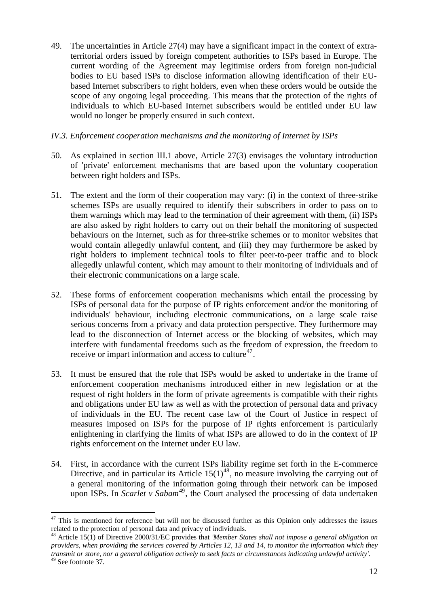- 49. The uncertainties in Article 27(4) may have a significant impact in the context of extraterritorial orders issued by foreign competent authorities to ISPs based in Europe. The current wording of the Agreement may legitimise orders from foreign non-judicial bodies to EU based ISPs to disclose information allowing identification of their EUbased Internet subscribers to right holders, even when these orders would be outside the scope of any ongoing legal proceeding. This means that the protection of the rights of individuals to which EU-based Internet subscribers would be entitled under EU law would no longer be properly ensured in such context.
- *IV.3. Enforcement cooperation mechanisms and the monitoring of Internet by ISPs*
- 50. As explained in section III.1 above, Article 27(3) envisages the voluntary introduction of 'private' enforcement mechanisms that are based upon the voluntary cooperation between right holders and ISPs.
- 51. The extent and the form of their cooperation may vary: (i) in the context of three-strike schemes ISPs are usually required to identify their subscribers in order to pass on to them warnings which may lead to the termination of their agreement with them, (ii) ISPs are also asked by right holders to carry out on their behalf the monitoring of suspected behaviours on the Internet, such as for three-strike schemes or to monitor websites that would contain allegedly unlawful content, and (iii) they may furthermore be asked by right holders to implement technical tools to filter peer-to-peer traffic and to block allegedly unlawful content, which may amount to their monitoring of individuals and of their electronic communications on a large scale.
- 52. These forms of enforcement cooperation mechanisms which entail the processing by ISPs of personal data for the purpose of IP rights enforcement and/or the monitoring of individuals' behaviour, including electronic communications, on a large scale raise serious concerns from a privacy and data protection perspective. They furthermore may lead to the disconnection of Internet access or the blocking of websites, which may interfere with fundamental freedoms such as the freedom of expression, the freedom to receive or impart information and access to culture<sup>[47](#page-11-0)</sup>.
- 53. It must be ensured that the role that ISPs would be asked to undertake in the frame of enforcement cooperation mechanisms introduced either in new legislation or at the request of right holders in the form of private agreements is compatible with their rights and obligations under EU law as well as with the protection of personal data and privacy of individuals in the EU. The recent case law of the Court of Justice in respect of measures imposed on ISPs for the purpose of IP rights enforcement is particularly enlightening in clarifying the limits of what ISPs are allowed to do in the context of IP rights enforcement on the Internet under EU law.
- 54. First, in accordance with the current ISPs liability regime set forth in the E-commerce Directive, and in particular its Article  $15(1)^{48}$  $15(1)^{48}$  $15(1)^{48}$ , no measure involving the carrying out of a general monitoring of the information going through their network can be imposed upon ISPs. In *Scarlet v Sabam*<sup>[49](#page-11-2)</sup>, the Court analysed the processing of data undertaken

<span id="page-11-0"></span><sup>1</sup>  $47$  This is mentioned for reference but will not be discussed further as this Opinion only addresses the issues related to the protection of personal data and privacy of individuals.

<span id="page-11-1"></span><sup>48</sup> Article 15(1) of Directive 2000/31/EC provides that *'Member States shall not impose a general obligation on providers, when providing the services covered by Articles 12, 13 and 14, to monitor the information which they transmit or store, nor a general obligation actively to seek facts or circumstances indicating unlawful activity'*. 49 See footnote 37.

<span id="page-11-2"></span>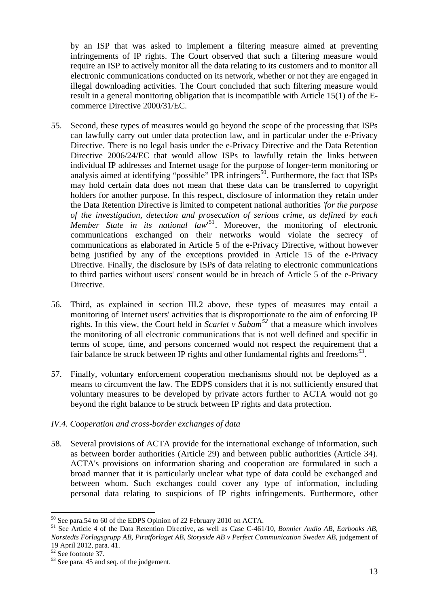by an ISP that was asked to implement a filtering measure aimed at preventing infringements of IP rights. The Court observed that such a filtering measure would require an ISP to actively monitor all the data relating to its customers and to monitor all electronic communications conducted on its network, whether or not they are engaged in illegal downloading activities. The Court concluded that such filtering measure would result in a general monitoring obligation that is incompatible with Article 15(1) of the Ecommerce Directive 2000/31/EC.

- 55. Second, these types of measures would go beyond the scope of the processing that ISPs can lawfully carry out under data protection law, and in particular under the e-Privacy Directive. There is no legal basis under the e-Privacy Directive and the Data Retention Directive 2006/24/EC that would allow ISPs to lawfully retain the links between individual IP addresses and Internet usage for the purpose of longer-term monitoring or analysis aimed at identifying "possible" IPR infringers<sup>[50](#page-12-0)</sup>. Furthermore, the fact that ISPs may hold certain data does not mean that these data can be transferred to copyright holders for another purpose. In this respect, disclosure of information they retain under the Data Retention Directive is limited to competent national authorities *'for the purpose of the investigation, detection and prosecution of serious crime, as defined by each Member State in its national law*' [51](#page-12-1). Moreover, the monitoring of electronic communications exchanged on their networks would violate the secrecy of communications as elaborated in Article 5 of the e-Privacy Directive, without however being justified by any of the exceptions provided in Article 15 of the e-Privacy Directive. Finally, the disclosure by ISPs of data relating to electronic communications to third parties without users' consent would be in breach of Article 5 of the e-Privacy Directive.
- 56. Third, as explained in section III.2 above, these types of measures may entail a monitoring of Internet users' activities that is disproportionate to the aim of enforcing IP rights. In this view, the Court held in *Scarlet v Sabam[52](#page-12-2)* that a measure which involves the monitoring of all electronic communications that is not well defined and specific in terms of scope, time, and persons concerned would not respect the requirement that a fair balance be struck between IP rights and other fundamental rights and freedoms<sup>[53](#page-12-3)</sup>.
- 57. Finally, voluntary enforcement cooperation mechanisms should not be deployed as a means to circumvent the law. The EDPS considers that it is not sufficiently ensured that voluntary measures to be developed by private actors further to ACTA would not go beyond the right balance to be struck between IP rights and data protection.

#### *IV.4. Cooperation and cross-border exchanges of data*

58. Several provisions of ACTA provide for the international exchange of information, such as between border authorities (Article 29) and between public authorities (Article 34). ACTA's provisions on information sharing and cooperation are formulated in such a broad manner that it is particularly unclear what type of data could be exchanged and between whom. Such exchanges could cover any type of information, including personal data relating to suspicions of IP rights infringements. Furthermore, other

<sup>1</sup>  $50$  See para.54 to 60 of the EDPS Opinion of 22 February 2010 on ACTA.

<span id="page-12-1"></span><span id="page-12-0"></span><sup>51</sup> See Article 4 of the Data Retention Directive, as well as Case C-461/10, *Bonnier Audio AB, Earbooks AB, Norstedts Förlagsgrupp AB, Piratförlaget AB, Storyside AB v Perfect Communication Sweden AB*, judgement of 19 April 2012, para. 41.

<span id="page-12-2"></span><sup>52</sup> See footnote 37.

<span id="page-12-3"></span><sup>53</sup> See para. 45 and seq. of the judgement.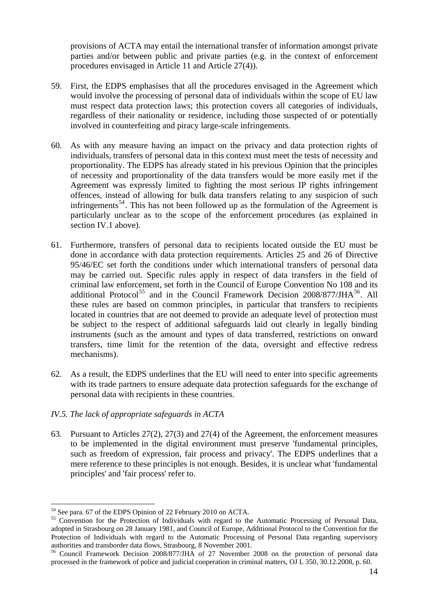provisions of ACTA may entail the international transfer of information amongst private parties and/or between public and private parties (e.g. in the context of enforcement procedures envisaged in Article 11 and Article 27(4)).

- 59. First, the EDPS emphasises that all the procedures envisaged in the Agreement which would involve the processing of personal data of individuals within the scope of EU law must respect data protection laws; this protection covers all categories of individuals, regardless of their nationality or residence, including those suspected of or potentially involved in counterfeiting and piracy large-scale infringements.
- 60. As with any measure having an impact on the privacy and data protection rights of individuals, transfers of personal data in this context must meet the tests of necessity and proportionality. The EDPS has already stated in his previous Opinion that the principles of necessity and proportionality of the data transfers would be more easily met if the Agreement was expressly limited to fighting the most serious IP rights infringement offences, instead of allowing for bulk data transfers relating to any suspicion of such infringements<sup>[54](#page-13-0)</sup>. This has not been followed up as the formulation of the Agreement is particularly unclear as to the scope of the enforcement procedures (as explained in section IV.1 above).
- transfers, time limit for the retention of the data, oversight and effective redress mechanisms). 61. Furthermore, transfers of personal data to recipients located outside the EU must be done in accordance with data protection requirements. Articles 25 and 26 of Directive 95/46/EC set forth the conditions under which international transfers of personal data may be carried out. Specific rules apply in respect of data transfers in the field of criminal law enforcement, set forth in the Council of Europe Convention No 108 and its additional Protocol<sup>[55](#page-13-1)</sup> and in the Council Framework Decision  $2008/877/JHA<sup>56</sup>$  $2008/877/JHA<sup>56</sup>$  $2008/877/JHA<sup>56</sup>$ . All these rules are based on common principles, in particular that transfers to recipients located in countries that are not deemed to provide an adequate level of protection must be subject to the respect of additional safeguards laid out clearly in legally binding instruments (such as the amount and types of data transferred, restrictions on onward
- with its trade partners to ensure adequate data protection safeguards for the exchange of personal data with recipients in these countries. 62. As a result, the EDPS underlines that the EU will need to enter into specific agreements

# IV.5. The lack of appropriate safeguards in ACTA

mere reference to these principles is not enough. Besides, it is unclear what 'fundamental principles' and 'fair process' refer to. 63. Pursuant to Articles 27(2), 27(3) and 27(4) of the Agreement, the enforcement measures to be implemented in the digital environment must preserve 'fundamental principles, such as freedom of expression, fair process and privacy'. The EDPS underlines that a

<sup>1</sup> 54 See para. 67 of the EDPS Opinion of 22 February 2010 on ACTA.

<span id="page-13-1"></span><span id="page-13-0"></span><sup>&</sup>lt;sup>55</sup> Convention for the Protection of Individuals with regard to the Automatic Processing of Personal Data, adopted in Strasbourg on 28 January 1981, and Council of Europe, Additional Protocol to the Convention for the Protection of Individuals with regard to the Automatic Processing of Personal Data regarding supervisory authorities and transborder data flows, Strasbourg, 8 November 2001. 56 Council Framework Decision 2008/877/JHA of 27 November 2008 on the protection of personal data

<span id="page-13-2"></span>processed in the framework of police and judicial cooperation in criminal matters, OJ L 350, 30.12.2008, p. 60.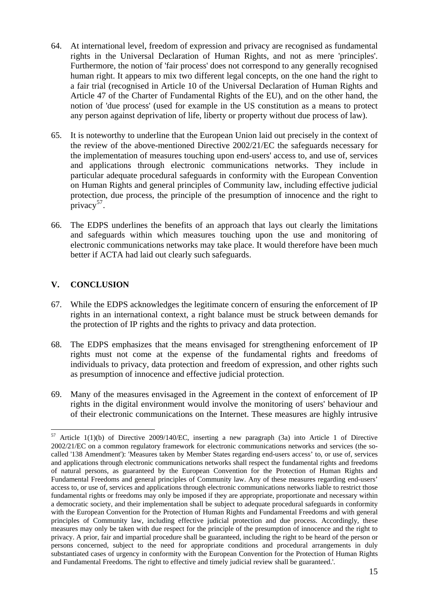- 64. At international level, freedom of expression and privacy are recognised as fundamental rights in the Universal Declaration of Human Rights, and not as mere 'principles'. Furthermore, the notion of 'fair process' does not correspond to any generally recognised human right. It appears to mix two different legal concepts, on the one hand the right to a fair trial (recognised in Article 10 of the Universal Declaration of Human Rights and Article 47 of the Charter of Fundamental Rights of the EU), and on the other hand, the notion of 'due process' (used for example in the US constitution as a means to protect any person against deprivation of life, liberty or property without due process of law).
- 65. It is noteworthy to underline that the European Union laid out precisely in the context of the review of the above-mentioned Directive 2002/21/EC the safeguards necessary for the implementation of measures touching upon end-users' access to, and use of, services and applications through electronic communications networks. They include in particular adequate procedural safeguards in conformity with the European Convention on Human Rights and general principles of Community law, including effective judicial protection, due process, the principle of the presumption of innocence and the right to privacy<sup>[57](#page-14-0)</sup>.
- 66. The EDPS underlines the benefits of an approach that lays out clearly the limitations and safeguards within which measures touching upon the use and monitoring of electronic communications networks may take place. It would therefore have been much better if ACTA had laid out clearly such safeguards.

# **V. CONCLUSION**

<u>.</u>

- 67. While the EDPS acknowledges the legitimate concern of ensuring the enforcement of IP rights in an international context, a right balance must be struck between demands for the protection of IP rights and the rights to privacy and data protection.
- 68. The EDPS emphasizes that the means envisaged for strengthening enforcement of IP rights must not come at the expense of the fundamental rights and freedoms of individuals to privacy, data protection and freedom of expression, and other rights such as presumption of innocence and effective judicial protection.
- 69. Many of the measures envisaged in the Agreement in the context of enforcement of IP rights in the digital environment would involve the monitoring of users' behaviour and of their electronic communications on the Internet. These measures are highly intrusive

<span id="page-14-0"></span> $57$  Article 1(1)(b) of Directive 2009/140/EC, inserting a new paragraph (3a) into Article 1 of Directive 2002/21/EC on a common regulatory framework for electronic communications networks and services (the socalled '138 Amendment'): 'Measures taken by Member States regarding end-users access' to, or use of, services and applications through electronic communications networks shall respect the fundamental rights and freedoms of natural persons, as guaranteed by the European Convention for the Protection of Human Rights and Fundamental Freedoms and general principles of Community law. Any of these measures regarding end-users' access to, or use of, services and applications through electronic communications networks liable to restrict those fundamental rights or freedoms may only be imposed if they are appropriate, proportionate and necessary within a democratic society, and their implementation shall be subject to adequate procedural safeguards in conformity with the European Convention for the Protection of Human Rights and Fundamental Freedoms and with general principles of Community law, including effective judicial protection and due process. Accordingly, these measures may only be taken with due respect for the principle of the presumption of innocence and the right to privacy. A prior, fair and impartial procedure shall be guaranteed, including the right to be heard of the person or persons concerned, subject to the need for appropriate conditions and procedural arrangements in duly substantiated cases of urgency in conformity with the European Convention for the Protection of Human Rights and Fundamental Freedoms. The right to effective and timely judicial review shall be guaranteed.'.